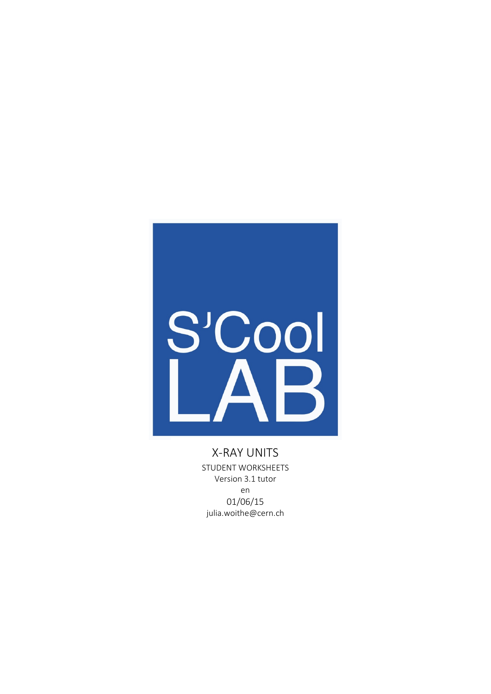

X-RAY UNITS STUDENT WORKSHEETS Version 3.1 tutor en 01/06/15 julia.woithe@cern.ch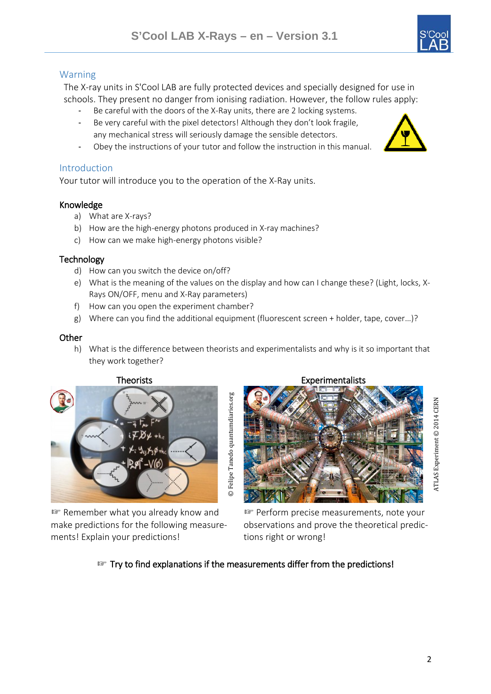# Warning

The X-ray units in S'Cool LAB are fully protected devices and specially designed for use in schools. They present no danger from ionising radiation. However, the follow rules apply:

- Be careful with the doors of the X-Ray units, there are 2 locking systems.
- Be very careful with the pixel detectors! Although they don't look fragile, any mechanical stress will seriously damage the sensible detectors.
- Obey the instructions of your tutor and follow the instruction in this manual.

# **Introduction**

Your tutor will introduce you to the operation of the X-Ray units.

# Knowledge

- a) What are X-rays?
- b) How are the high-energy photons produced in X-ray machines?
- c) How can we make high-energy photons visible?

## **Technology**

- d) How can you switch the device on/off?
- e) What is the meaning of the values on the display and how can I change these? (Light, locks, X-Rays ON/OFF, menu and X-Ray parameters)
- f) How can you open the experiment chamber?
- g) Where can you find the additional equipment (fluorescent screen + holder, tape, cover…)?

# **Other**

h) What is the difference between theorists and experimentalists and why is it so important that they work together?



☞ Remember what you already know and make predictions for the following measurements! Explain your predictions!



**ATLAS Experiment © 2014 CERN** ATLAS Experiment © 2014 CERN

☞ Perform precise measurements, note your observations and prove the theoretical predictions right or wrong!

# ☞ Try to find explanations if the measurements differ from the predictions!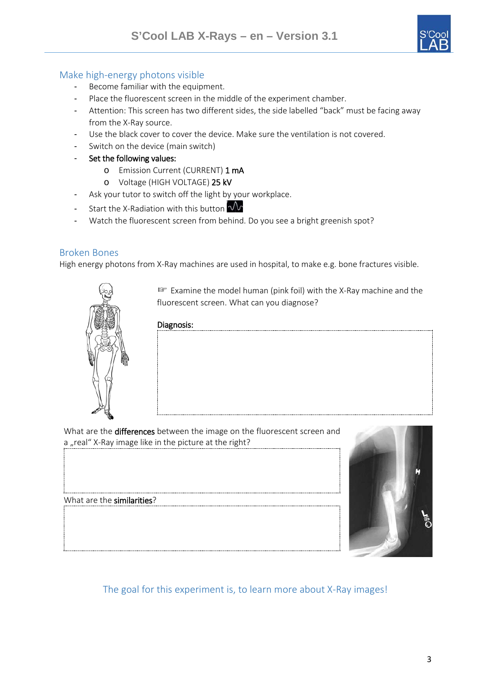

## Make high-energy photons visible

- Become familiar with the equipment.
- Place the fluorescent screen in the middle of the experiment chamber.
- Attention: This screen has two different sides, the side labelled "back" must be facing away from the X-Ray source.
- Use the black cover to cover the device. Make sure the ventilation is not covered.
- Switch on the device (main switch)
- Set the following values:
	- o Emission Current (CURRENT) 1 mA
	- o Voltage (HIGH VOLTAGE) 25 kV
- Ask your tutor to switch off the light by your workplace.
- Start the X-Radiation with this button  $\mathcal{W}$
- Watch the fluorescent screen from behind. Do you see a bright greenish spot?

#### Broken Bones

High energy photons from X-Ray machines are used in hospital, to make e.g. bone fractures visible.



☞ Examine the model human (pink foil) with the X-Ray machine and the fluorescent screen. What can you diagnose?

#### Diagnosis:

What are the differences between the image on the fluorescent screen and a "real" X-Ray image like in the picture at the right?

What are the similarities?



# The goal for this experiment is, to learn more about X-Ray images!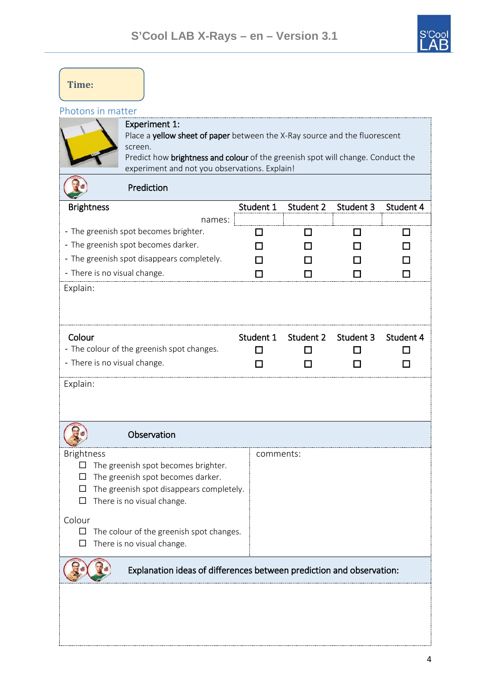

| Time:                                                                |                                                                                                                                                                                                                                                   |           |           |           |                         |
|----------------------------------------------------------------------|---------------------------------------------------------------------------------------------------------------------------------------------------------------------------------------------------------------------------------------------------|-----------|-----------|-----------|-------------------------|
| Photons in matter                                                    | <b>Experiment 1:</b><br>Place a yellow sheet of paper between the X-Ray source and the fluorescent<br>screen.<br>Predict how brightness and colour of the greenish spot will change. Conduct the<br>experiment and not you observations. Explain! |           |           |           |                         |
|                                                                      | Prediction                                                                                                                                                                                                                                        |           |           |           |                         |
| <b>Brightness</b><br>- There is no visual change.<br>Explain:        | names:<br>- The greenish spot becomes brighter.<br>- The greenish spot becomes darker.<br>- The greenish spot disappears completely.                                                                                                              | Student 1 | Student 2 | Student 3 | Student 4<br>l 1<br>l 1 |
| Colour<br>- There is no visual change.<br>Explain:                   | - The colour of the greenish spot changes.                                                                                                                                                                                                        | Student 1 | Student 2 | Student 3 | Student 4               |
|                                                                      | Observation                                                                                                                                                                                                                                       |           |           |           |                         |
| <b>Brightness</b><br>П<br>Colour<br>□                                | The greenish spot becomes brighter.<br>The greenish spot becomes darker.<br>The greenish spot disappears completely.<br>There is no visual change.<br>The colour of the greenish spot changes.<br>There is no visual change.                      | comments: |           |           |                         |
| Explanation ideas of differences between prediction and observation: |                                                                                                                                                                                                                                                   |           |           |           |                         |
|                                                                      |                                                                                                                                                                                                                                                   |           |           |           |                         |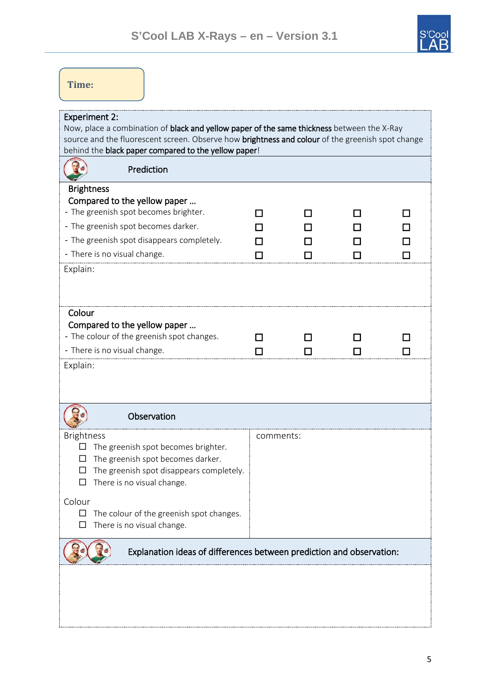

| Time:                                                                                                                                                                                                                                                                          |           |  |  |
|--------------------------------------------------------------------------------------------------------------------------------------------------------------------------------------------------------------------------------------------------------------------------------|-----------|--|--|
| <b>Experiment 2:</b><br>Now, place a combination of black and yellow paper of the same thickness between the X-Ray<br>source and the fluorescent screen. Observe how brightness and colour of the greenish spot change<br>behind the black paper compared to the yellow paper! |           |  |  |
| Prediction                                                                                                                                                                                                                                                                     |           |  |  |
| <b>Brightness</b><br>Compared to the yellow paper<br>- The greenish spot becomes brighter.<br>- The greenish spot becomes darker.<br>- The greenish spot disappears completely.<br>- There is no visual change.<br>Explain:                                                    |           |  |  |
| Colour<br>Compared to the yellow paper<br>- The colour of the greenish spot changes.<br>- There is no visual change.<br>Explain:                                                                                                                                               | П         |  |  |
| Observation                                                                                                                                                                                                                                                                    |           |  |  |
| <b>Brightness</b><br>The greenish spot becomes brighter.<br>$\Box$<br>The greenish spot becomes darker.<br>П<br>The greenish spot disappears completely.<br>$\Box$<br>There is no visual change.<br>□                                                                          | comments: |  |  |
| Colour<br>The colour of the greenish spot changes.<br>$\Box$<br>There is no visual change.<br>□                                                                                                                                                                                |           |  |  |
| Explanation ideas of differences between prediction and observation:                                                                                                                                                                                                           |           |  |  |
|                                                                                                                                                                                                                                                                                |           |  |  |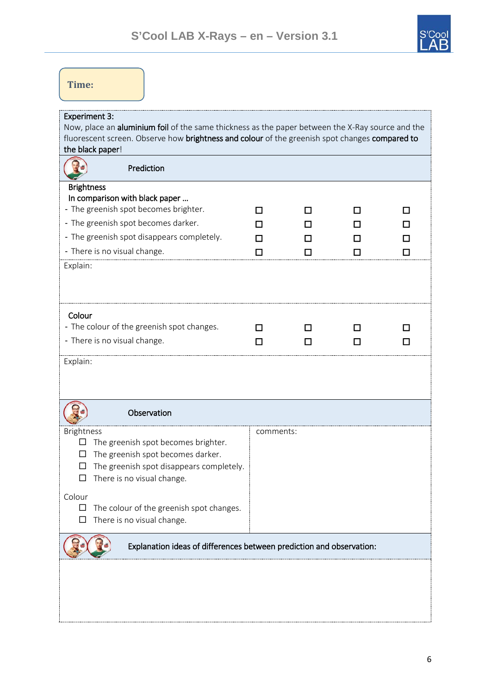

| Time:                                                                                                                                                                                                                                          |           |   |     |          |
|------------------------------------------------------------------------------------------------------------------------------------------------------------------------------------------------------------------------------------------------|-----------|---|-----|----------|
| <b>Experiment 3:</b><br>Now, place an aluminium foil of the same thickness as the paper between the X-Ray source and the<br>fluorescent screen. Observe how brightness and colour of the greenish spot changes compared to<br>the black paper! |           |   |     |          |
| Prediction                                                                                                                                                                                                                                     |           |   |     |          |
| <b>Brightness</b><br>In comparison with black paper<br>- The greenish spot becomes brighter.<br>- The greenish spot becomes darker.<br>- The greenish spot disappears completely.<br>- There is no visual change.<br>Explain:                  |           | П | l l | l I<br>П |
| Colour<br>- The colour of the greenish spot changes.<br>- There is no visual change.<br>Explain:                                                                                                                                               | П         |   | П   |          |
| Observation                                                                                                                                                                                                                                    |           |   |     |          |
| <b>Brightness</b><br>The greenish spot becomes brighter.<br>⊔<br>The greenish spot becomes darker.<br>ப<br>The greenish spot disappears completely.<br>□<br>There is no visual change.<br>Colour                                               | comments: |   |     |          |
| The colour of the greenish spot changes.<br>$\Box$<br>There is no visual change.<br>$\Box$                                                                                                                                                     |           |   |     |          |
| Explanation ideas of differences between prediction and observation:                                                                                                                                                                           |           |   |     |          |
|                                                                                                                                                                                                                                                |           |   |     |          |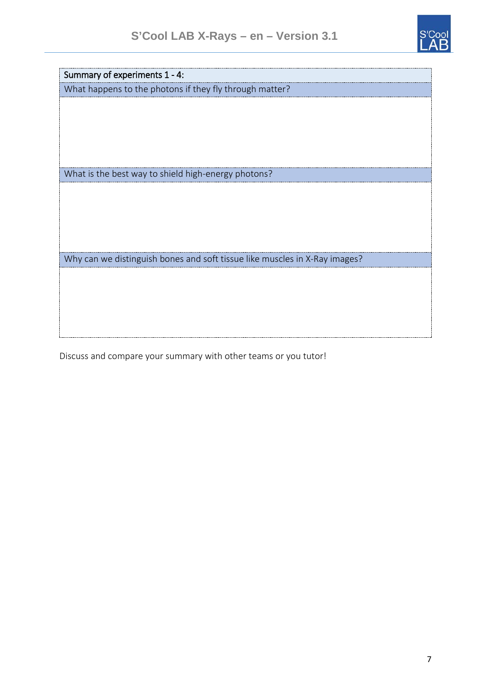

Summary of experiments 1 - 4:

What happens to the photons if they fly through matter?

What is the best way to shield high-energy photons?

Why can we distinguish bones and soft tissue like muscles in X-Ray images?

Discuss and compare your summary with other teams or you tutor!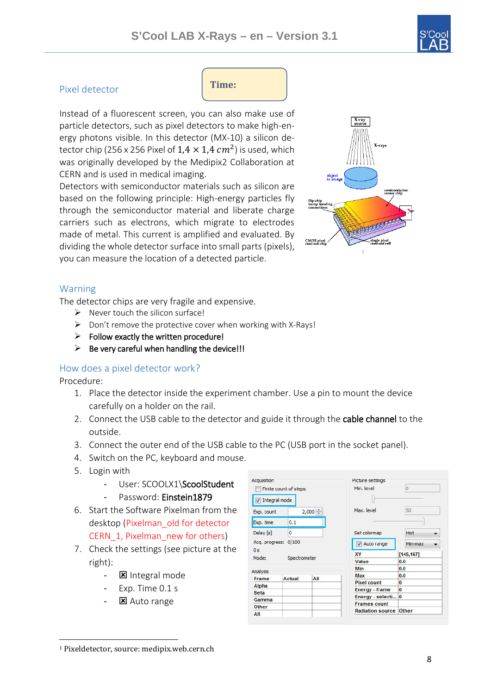

# Pixel detector

**Time:** 

Instead of a fluorescent screen, you can also make use of particle detectors, such as pixel detectors to make high-energy photons visible. In this detector (MX-10) a silicon detector chip (256 x 256 Pixel of  $1.4 \times 1.4$   $cm<sup>2</sup>$ ) is used, which was originally developed by the Medipix2 Collaboration at CERN and is used in medical imaging.

Detectors with semiconductor materials such as silicon are based on the following principle: High-energy particles fly through the semiconductor material and liberate charge carriers such as electrons, which migrate to electrodes made of metal. This current is amplified and evaluated. By dividing the whole detector surface into small parts (pixels), you can measure the location of a detected particle. *[1](#page-7-0)*



## Warning

The detector chips are very fragile and expensive.

- $\triangleright$  Never touch the silicon surface!
- $\triangleright$  Don't remove the protective cover when working with X-Rays!
- $\triangleright$  Follow exactly the written procedure!
- $\triangleright$  Be very careful when handling the device!!!

## How does a pixel detector work?

Procedure:

- 1. Place the detector inside the experiment chamber. Use a pin to mount the device carefully on a holder on the rail.
- 2. Connect the USB cable to the detector and guide it through the cable channel to the outside.

A coupleting

- 3. Connect the outer end of the USB cable to the PC (USB port in the socket panel).
- 4. Switch on the PC, keyboard and mouse.
- 5. Login with
	- User: SCOOLX1\ScoolStudent
	- Password: Einstein1879
- 6. Start the Software Pixelman from the desktop (Pixelman\_old for detector CERN 1, Pixelman new for others)
- 7. Check the settings (see picture at the right):
	- $\blacksquare$  Integral mode
	- Exp. Time 0.1 s
	- 区 Auto range

| <b>Acquisition</b>                                                 |               |            | Linning actourds        |          |  |
|--------------------------------------------------------------------|---------------|------------|-------------------------|----------|--|
| Finite count of steps                                              |               | Min. level | Ű                       |          |  |
|                                                                    | Integral mode |            |                         |          |  |
| Exp. count                                                         |               | $2,000 -$  | Max. level              | 50       |  |
| Exp. time                                                          | 0.1           |            |                         |          |  |
| Delay [s]                                                          | 0             |            | Set colormap            | Hot      |  |
| 0/100<br>Acq. progress:<br>0 <sub>s</sub><br>Mode:<br>Spectrometer |               | Auto range | Min-max                 |          |  |
|                                                                    |               | <b>XY</b>  | [145, 167]              |          |  |
|                                                                    |               | Value      | 0.0                     |          |  |
| Analysis                                                           |               |            | Min                     | 0.0      |  |
| Frame                                                              | <b>Actual</b> | All        | Max                     | 0.0      |  |
| Alpha                                                              |               |            | <b>Pixel count</b>      | 0        |  |
| <b>Beta</b>                                                        |               |            | Energy - frame          | $\bf{0}$ |  |
|                                                                    |               |            | Energy - selecti 0      |          |  |
| Gamma                                                              |               |            | <b>Frames count</b>     |          |  |
| Other                                                              |               |            | <b>Radiation source</b> | Other    |  |
| All                                                                |               |            |                         |          |  |

<span id="page-7-0"></span> <sup>1</sup> Pixeldetector, source: medipix.web.cern.ch